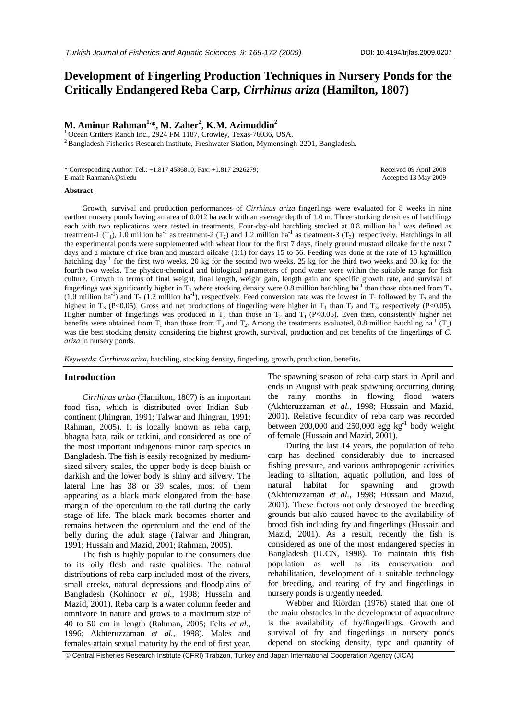# **Development of Fingerling Production Techniques in Nursery Ponds for the Critically Endangered Reba Carp,** *Cirrhinus ariza* **(Hamilton, 1807)**

## M. Aminur Rahman<sup>1,</sup>\*, M. Zaher<sup>2</sup>, K.M. Azimuddin<sup>2</sup>

<sup>1</sup> Ocean Critters Ranch Inc., 2924 FM 1187, Crowley, Texas-76036, USA. <sup>2</sup> Bangladesh Fisheries Research Institute, Freshwater Station, Mymensingh-2201, Bangladesh.

| * Corresponding Author: Tel.: $+1.8174586810$ ; Fax: $+1.8172926279$ ; | Received 09 April 2008 |
|------------------------------------------------------------------------|------------------------|
| E-mail: RahmanA@si.edu                                                 | Accepted 13 May 2009   |

#### **Abstract**

Growth, survival and production performances of *Cirrhinus ariza* fingerlings were evaluated for 8 weeks in nine earthen nursery ponds having an area of 0.012 ha each with an average depth of 1.0 m. Three stocking densities of hatchlings each with two replications were tested in treatments. Four-day-old hatchling stocked at 0.8 million ha<sup>-1</sup> was defined as treatment-1 (T<sub>1</sub>), 1.0 million ha<sup>-1</sup> as treatment-2 (T<sub>2</sub>) and 1.2 million ha<sup>-1</sup> as treatment-3 (T<sub>3</sub>), respectively. Hatchlings in all the experimental ponds were supplemented with wheat flour for the first 7 days, finely ground mustard oilcake for the next 7 days and a mixture of rice bran and mustard oilcake (1:1) for days 15 to 56. Feeding was done at the rate of 15 kg/million hatchling day<sup>-1</sup> for the first two weeks, 20 kg for the second two weeks, 25 kg for the third two weeks and 30 kg for the fourth two weeks. The physico-chemical and biological parameters of pond water were within the suitable range for fish culture. Growth in terms of final weight, final length, weight gain, length gain and specific growth rate, and survival of fingerlings was significantly higher in  $T_1$  where stocking density were 0.8 million hatchling ha<sup>-1</sup> than those obtained from  $T_2$ (1.0 million ha<sup>-1</sup>) and  $T_3$  (1.2 million ha<sup>-1</sup>), respectively. Feed conversion rate was the lowest in  $T_1$  followed by  $T_2$  and the highest in T<sub>3</sub> (P<0.05). Gross and net productions of fingerling were higher in T<sub>1</sub> than T<sub>2</sub> and T<sub>3</sub>, respectively (P<0.05). Higher number of fingerlings was produced in  $T_3$  than those in  $T_2$  and  $T_1$  (P<0.05). Even then, consistently higher net benefits were obtained from T<sub>1</sub> than those from T<sub>3</sub> and T<sub>2</sub>. Among the treatments evaluated, 0.8 million hatchling ha<sup>-1</sup> (T<sub>1</sub>) was the best stocking density considering the highest growth, survival, production and net benefits of the fingerlings of *C. ariza* in nursery ponds.

*Keywords*: *Cirrhinus ariza*, hatchling, stocking density, fingerling, growth, production, benefits.

#### **Introduction**

*Cirrhinus ariza* (Hamilton, 1807) is an important food fish, which is distributed over Indian Subcontinent (Jhingran, 1991; Talwar and Jhingran, 1991; Rahman, 2005). It is locally known as reba carp, bhagna bata, raik or tatkini, and considered as one of the most important indigenous minor carp species in Bangladesh. The fish is easily recognized by mediumsized silvery scales, the upper body is deep bluish or darkish and the lower body is shiny and silvery. The lateral line has 38 or 39 scales, most of them appearing as a black mark elongated from the base margin of the operculum to the tail during the early stage of life. The black mark becomes shorter and remains between the operculum and the end of the belly during the adult stage (Talwar and Jhingran, 1991; Hussain and Mazid, 2001; Rahman, 2005).

The fish is highly popular to the consumers due to its oily flesh and taste qualities. The natural distributions of reba carp included most of the rivers, small creeks, natural depressions and floodplains of Bangladesh (Kohinoor *et al*., 1998; Hussain and Mazid, 2001). Reba carp is a water column feeder and omnivore in nature and grows to a maximum size of 40 to 50 cm in length (Rahman, 2005; Felts *et al*., 1996; Akhteruzzaman *et al.*, 1998). Males and females attain sexual maturity by the end of first year.

The spawning season of reba carp stars in April and ends in August with peak spawning occurring during the rainy months in flowing flood waters (Akhteruzzaman *et al.*, 1998; Hussain and Mazid, 2001). Relative fecundity of reba carp was recorded between 200,000 and 250,000 egg  $kg^{-1}$  body weight of female (Hussain and Mazid, 2001).

During the last 14 years, the population of reba carp has declined considerably due to increased fishing pressure, and various anthropogenic activities leading to siltation, aquatic pollution, and loss of natural habitat for spawning and growth (Akhteruzzaman *et al.*, 1998; Hussain and Mazid, 2001). These factors not only destroyed the breeding grounds but also caused havoc to the availability of brood fish including fry and fingerlings (Hussain and Mazid, 2001). As a result, recently the fish is considered as one of the most endangered species in Bangladesh (IUCN, 1998). To maintain this fish population as well as its conservation and rehabilitation, development of a suitable technology for breeding, and rearing of fry and fingerlings in nursery ponds is urgently needed.

Webber and Riordan (1976) stated that one of the main obstacles in the development of aquaculture is the availability of fry/fingerlings. Growth and survival of fry and fingerlings in nursery ponds depend on stocking density, type and quantity of

© Central Fisheries Research Institute (CFRI) Trabzon, Turkey and Japan International Cooperation Agency (JICA)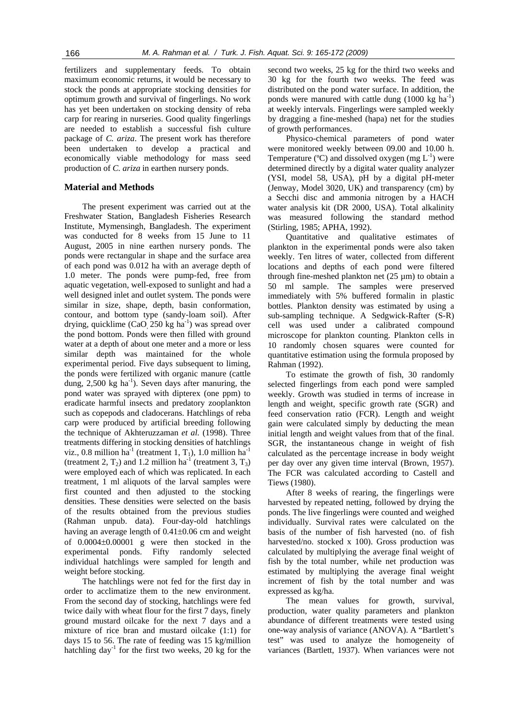fertilizers and supplementary feeds. To obtain maximum economic returns, it would be necessary to stock the ponds at appropriate stocking densities for optimum growth and survival of fingerlings. No work has yet been undertaken on stocking density of reba carp for rearing in nurseries. Good quality fingerlings are needed to establish a successful fish culture package of *C. ariza*. The present work has therefore been undertaken to develop a practical and economically viable methodology for mass seed production of *C. ariza* in earthen nursery ponds.

## **Material and Methods**

The present experiment was carried out at the Freshwater Station, Bangladesh Fisheries Research Institute, Mymensingh, Bangladesh. The experiment was conducted for 8 weeks from 15 June to 11 August, 2005 in nine earthen nursery ponds. The ponds were rectangular in shape and the surface area of each pond was 0.012 ha with an average depth of 1.0 meter. The ponds were pump-fed, free from aquatic vegetation, well-exposed to sunlight and had a well designed inlet and outlet system. The ponds were similar in size, shape, depth, basin conformation, contour, and bottom type (sandy-loam soil). After drying, quicklime (CaO, 250 kg ha<sup>-1</sup>) was spread over the pond bottom. Ponds were then filled with ground water at a depth of about one meter and a more or less similar depth was maintained for the whole experimental period. Five days subsequent to liming, the ponds were fertilized with organic manure (cattle dung,  $2,500 \text{ kg } \text{ha}^{-1}$ ). Seven days after manuring, the pond water was sprayed with dipterex (one ppm) to eradicate harmful insects and predatory zooplankton such as copepods and cladocerans. Hatchlings of reba carp were produced by artificial breeding following the technique of Akhteruzzaman *et al.* (1998). Three treatments differing in stocking densities of hatchlings viz., 0.8 million ha<sup>-1</sup> (treatment 1,  $T_1$ ), 1.0 million ha<sup>-1</sup> (treatment 2,  $T_2$ ) and 1.2 million ha<sup>-1</sup> (treatment 3,  $T_3$ ) were employed each of which was replicated. In each treatment, 1 ml aliquots of the larval samples were first counted and then adjusted to the stocking densities. These densities were selected on the basis of the results obtained from the previous studies (Rahman unpub. data). Four-day-old hatchlings having an average length of 0.41±0.06 cm and weight of 0.0004±0.00001 g were then stocked in the experimental ponds. Fifty randomly selected individual hatchlings were sampled for length and weight before stocking.

The hatchlings were not fed for the first day in order to acclimatize them to the new environment. From the second day of stocking, hatchlings were fed twice daily with wheat flour for the first 7 days, finely ground mustard oilcake for the next 7 days and a mixture of rice bran and mustard oilcake (1:1) for days 15 to 56. The rate of feeding was 15 kg/million hatchling  $day^{-1}$  for the first two weeks, 20 kg for the

second two weeks, 25 kg for the third two weeks and 30 kg for the fourth two weeks. The feed was distributed on the pond water surface. In addition, the ponds were manured with cattle dung  $(1000 \text{ kg ha}^{-1})$ at weekly intervals. Fingerlings were sampled weekly by dragging a fine-meshed (hapa) net for the studies of growth performances.

Physico-chemical parameters of pond water were monitored weekly between 09.00 and 10.00 h. Temperature ( $^{\circ}$ C) and dissolved oxygen (mg  $L^{-1}$ ) were determined directly by a digital water quality analyzer (YSI, model 58, USA), pH by a digital pH-meter (Jenway, Model 3020, UK) and transparency (cm) by a Secchi disc and ammonia nitrogen by a HACH water analysis kit (DR 2000, USA). Total alkalinity was measured following the standard method (Stirling, 1985; APHA, 1992).

Quantitative and qualitative estimates of plankton in the experimental ponds were also taken weekly. Ten litres of water, collected from different locations and depths of each pond were filtered through fine-meshed plankton net  $(25 \mu m)$  to obtain a 50 ml sample. The samples were preserved immediately with 5% buffered formalin in plastic bottles. Plankton density was estimated by using a sub-sampling technique. A Sedgwick-Rafter (S-R) cell was used under a calibrated compound microscope for plankton counting. Plankton cells in 10 randomly chosen squares were counted for quantitative estimation using the formula proposed by Rahman (1992).

To estimate the growth of fish, 30 randomly selected fingerlings from each pond were sampled weekly. Growth was studied in terms of increase in length and weight, specific growth rate (SGR) and feed conservation ratio (FCR). Length and weight gain were calculated simply by deducting the mean initial length and weight values from that of the final. SGR, the instantaneous change in weight of fish calculated as the percentage increase in body weight per day over any given time interval (Brown, 1957). The FCR was calculated according to Castell and Tiews (1980).

After 8 weeks of rearing, the fingerlings were harvested by repeated netting, followed by drying the ponds. The live fingerlings were counted and weighed individually. Survival rates were calculated on the basis of the number of fish harvested (no. of fish harvested/no. stocked x 100). Gross production was calculated by multiplying the average final weight of fish by the total number, while net production was estimated by multiplying the average final weight increment of fish by the total number and was expressed as kg/ha.

The mean values for growth, survival, production, water quality parameters and plankton abundance of different treatments were tested using one-way analysis of variance (ANOVA). A "Bartlett's test" was used to analyze the homogeneity of variances (Bartlett, 1937). When variances were not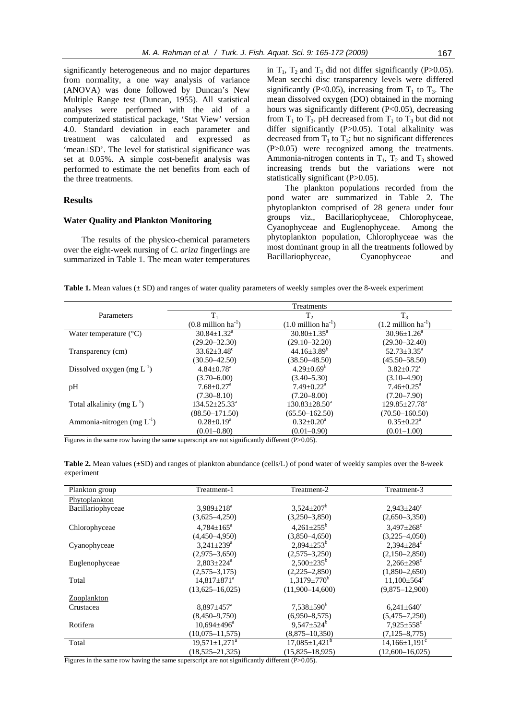significantly heterogeneous and no major departures from normality, a one way analysis of variance (ANOVA) was done followed by Duncan's New Multiple Range test (Duncan, 1955). All statistical analyses were performed with the aid of a computerized statistical package, 'Stat View' version 4.0. Standard deviation in each parameter and treatment was calculated and expressed as 'mean±SD'. The level for statistical significance was set at 0.05%. A simple cost-benefit analysis was performed to estimate the net benefits from each of the three treatments.

## **Results**

### **Water Quality and Plankton Monitoring**

The results of the physico-chemical parameters over the eight-week nursing of *C. ariza* fingerlings are summarized in Table 1. The mean water temperatures

in  $T_1$ ,  $T_2$  and  $T_3$  did not differ significantly (P>0.05). Mean secchi disc transparency levels were differed significantly (P<0.05), increasing from  $T_1$  to  $T_3$ . The mean dissolved oxygen (DO) obtained in the morning hours was significantly different (P<0.05), decreasing from  $T_1$  to  $T_3$ . pH decreased from  $T_1$  to  $T_3$  but did not differ significantly (P>0.05). Total alkalinity was decreased from  $T_1$  to  $T_3$ ; but no significant differences (P>0.05) were recognized among the treatments. Ammonia-nitrogen contents in  $T_1$ ,  $T_2$  and  $T_3$  showed increasing trends but the variations were not statistically significant (P>0.05).

The plankton populations recorded from the pond water are summarized in Table 2. The phytoplankton comprised of 28 genera under four groups viz., Bacillariophyceae, Chlorophyceae, Cyanophyceae and Euglenophyceae. Among the phytoplankton population, Chlorophyceae was the most dominant group in all the treatments followed by Bacillariophyceae, Cyanophyceae and

| Table 1. Mean values $(\pm SD)$ and ranges of water quality parameters of weekly samples over the 8-week experiment |  |  |  |  |  |  |
|---------------------------------------------------------------------------------------------------------------------|--|--|--|--|--|--|
|---------------------------------------------------------------------------------------------------------------------|--|--|--|--|--|--|

|                                 | Treatments                      |                                 |                                 |  |  |  |  |  |
|---------------------------------|---------------------------------|---------------------------------|---------------------------------|--|--|--|--|--|
| Parameters                      | $T_{1}$                         | T,                              | $T_{3}$                         |  |  |  |  |  |
|                                 | $(0.8 \text{ million ha}^{-1})$ | $(1.0 \text{ million ha}^{-1})$ | $(1.2 \text{ million ha}^{-1})$ |  |  |  |  |  |
| Water temperature $(^{\circ}C)$ | $30.84 \pm 1.32$ <sup>a</sup>   | $30.80 \pm 1.35^{\circ}$        | $30.96 \pm 1.26^{\circ}$        |  |  |  |  |  |
|                                 | $(29.20 - 32.30)$               | $(29.10 - 32.20)$               | $(29.30 - 32.40)$               |  |  |  |  |  |
| Transparency (cm)               | $33.62 \pm 3.48$ <sup>c</sup>   | $44.16 \pm 3.89^b$              | $52.73 \pm 3.35^{\text{a}}$     |  |  |  |  |  |
|                                 | $(30.50 - 42.50)$               | $(38.50 - 48.50)$               | $(45.50 - 58.50)$               |  |  |  |  |  |
| Dissolved oxygen $(mg L^{-1})$  | $4.84 \pm 0.78$ <sup>a</sup>    | $4.29 \pm 0.69^b$               | $3.82 \pm 0.72$ <sup>c</sup>    |  |  |  |  |  |
|                                 | $(3.70 - 6.00)$                 | $(3.40 - 5.30)$                 | $(3.10 - 4.90)$                 |  |  |  |  |  |
| pH                              | $7.68 \pm 0.27$ <sup>a</sup>    | $7.49 \pm 0.22$ <sup>a</sup>    | $7.46 \pm 0.25$ <sup>a</sup>    |  |  |  |  |  |
|                                 | $(7.30 - 8.10)$                 | $(7.20 - 8.00)$                 | $(7.20 - 7.90)$                 |  |  |  |  |  |
| Total alkalinity (mg $L^{-1}$ ) | $134.52 \pm 25.33^a$            | $130.83 \pm 28.50^a$            | $129.85 \pm 27.78^a$            |  |  |  |  |  |
|                                 | $(88.50 - 171.50)$              | $(65.50 - 162.50)$              | $(70.50 - 160.50)$              |  |  |  |  |  |
| Ammonia-nitrogen (mg $L^{-1}$ ) | $0.28 \pm 0.19^a$               | $0.32 \pm 0.20^a$               | $0.35 \pm 0.22^{\text{a}}$      |  |  |  |  |  |
|                                 | $(0.01 - 0.80)$                 | $(0.01 - 0.90)$                 | $(0.01 - 1.00)$                 |  |  |  |  |  |

Figures in the same row having the same superscript are not significantly different (P>0.05).

**Table 2.** Mean values (±SD) and ranges of plankton abundance (cells/L) of pond water of weekly samples over the 8-week experiment

| Plankton group    | Treatment-1                     | Treatment-2                   | Treatment-3                     |
|-------------------|---------------------------------|-------------------------------|---------------------------------|
| Phytoplankton     |                                 |                               |                                 |
| Bacillariophyceae | $3.989 \pm 218^a$               | $3,524 \pm 207^b$             | $2,943 \pm 240^{\circ}$         |
|                   | $(3,625-4,250)$                 | $(3,250-3,850)$               | $(2,650-3,350)$                 |
| Chlorophyceae     | $4.784 \pm 165^{\text{a}}$      | $4,261 \pm 255^{\rm b}$       | $3.497 \pm 268$ <sup>c</sup>    |
|                   | $(4,450-4,950)$                 | $(3,850-4,650)$               | $(3,225-4,050)$                 |
| Cyanophyceae      | $3.241 \pm 239$ <sup>a</sup>    | $2,894\pm253^b$               | $2.394 \pm 284$ <sup>c</sup>    |
|                   | $(2,975-3,650)$                 | $(2,575-3,250)$               | $(2,150-2,850)$                 |
| Euglenophyceae    | $2.803 \pm 224$ <sup>a</sup>    | $2,500\pm235^{\rm b}$         | $2.266 \pm 298$                 |
|                   | $(2,575-3,175)$                 | $(2,225-2,850)$               | $(1,850-2,650)$                 |
| Total             | $14,817\pm871^a$                | $1,3179 \pm 770$ <sup>b</sup> | $11,100\pm564^{\circ}$          |
|                   | $(13,625 - 16,025)$             | $(11,900-14,600)$             | $(9,875 - 12,900)$              |
| Zooplankton       |                                 |                               |                                 |
| Crustacea         | $8.897 \pm 457$ <sup>a</sup>    | $7,538 \pm 590^b$             | $6,241\pm640^{\circ}$           |
|                   | $(8,450-9,750)$                 | $(6,950-8,575)$               | $(5,475-7,250)$                 |
| Rotifera          | $10,694\pm496^{\circ}$          | $9,547 \pm 524^b$             | $7,925 \pm 558$ <sup>c</sup>    |
|                   | $(10,075 - 11,575)$             | $(8,875-10,350)$              | $(7, 125 - 8, 775)$             |
| Total             | $19,571 \pm 1,271$ <sup>a</sup> | $17,085 \pm 1,421^b$          | $14,166 \pm 1,191$ <sup>c</sup> |
|                   | $(18, 525 - 21, 325)$           | $(15.825 - 18.925)$           | $(12.600 - 16.025)$             |

Figures in the same row having the same superscript are not significantly different (P>0.05).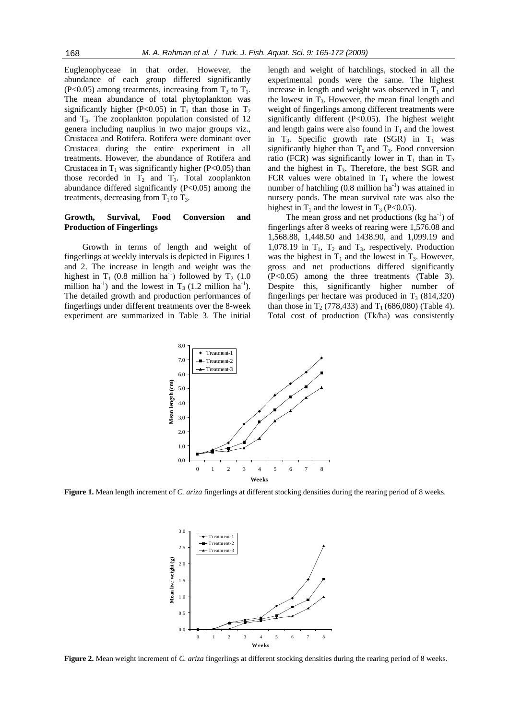Euglenophyceae in that order. However, the abundance of each group differed significantly (P<0.05) among treatments, increasing from  $T_3$  to  $T_1$ . The mean abundance of total phytoplankton was significantly higher (P<0.05) in  $T_1$  than those in  $T_2$ and  $T_3$ . The zooplankton population consisted of 12 genera including nauplius in two major groups viz., Crustacea and Rotifera. Rotifera were dominant over Crustacea during the entire experiment in all treatments. However, the abundance of Rotifera and Crustacea in  $T_1$  was significantly higher (P<0.05) than those recorded in  $T_2$  and  $T_3$ . Total zooplankton abundance differed significantly (P<0.05) among the treatments, decreasing from  $T_1$  to  $T_3$ .

#### **Growth, Survival, Food Conversion and Production of Fingerlings**

Growth in terms of length and weight of fingerlings at weekly intervals is depicted in Figures 1 and 2. The increase in length and weight was the highest in  $T_1$  (0.8 million ha<sup>-1</sup>) followed by  $T_2$  (1.0 million ha<sup>-1</sup>) and the lowest in  $T_3$  (1.2 million ha<sup>-1</sup>). The detailed growth and production performances of fingerlings under different treatments over the 8-week experiment are summarized in Table 3. The initial length and weight of hatchlings, stocked in all the experimental ponds were the same. The highest increase in length and weight was observed in  $T_1$  and the lowest in  $T_3$ . However, the mean final length and weight of fingerlings among different treatments were significantly different (P<0.05). The highest weight and length gains were also found in  $T_1$  and the lowest in  $T_3$ . Specific growth rate (SGR) in  $T_1$  was significantly higher than  $T_2$  and  $T_3$ . Food conversion ratio (FCR) was significantly lower in  $T_1$  than in  $T_2$ and the highest in  $T_3$ . Therefore, the best SGR and FCR values were obtained in  $T_1$  where the lowest number of hatchling  $(0.8 \text{ million ha}^{-1})$  was attained in nursery ponds. The mean survival rate was also the highest in  $T_1$  and the lowest in  $T_3$  (P<0.05).

The mean gross and net productions ( $kg \text{ ha}^{-1}$ ) of fingerlings after 8 weeks of rearing were 1,576.08 and 1,568.88, 1,448.50 and 1438.90, and 1,099.19 and 1,078.19 in  $T_1$ ,  $T_2$  and  $T_3$ , respectively. Production was the highest in  $T_1$  and the lowest in  $T_3$ . However, gross and net productions differed significantly (P<0.05) among the three treatments (Table 3). Despite this, significantly higher number of fingerlings per hectare was produced in  $T_3$  (814,320) than those in  $T_2$  (778,433) and  $T_1$  (686,080) (Table 4). Total cost of production (Tk/ha) was consistently



**Figure 1.** Mean length increment of *C. ariza* fingerlings at different stocking densities during the rearing period of 8 weeks.



**Figure 2.** Mean weight increment of *C. ariza* fingerlings at different stocking densities during the rearing period of 8 weeks.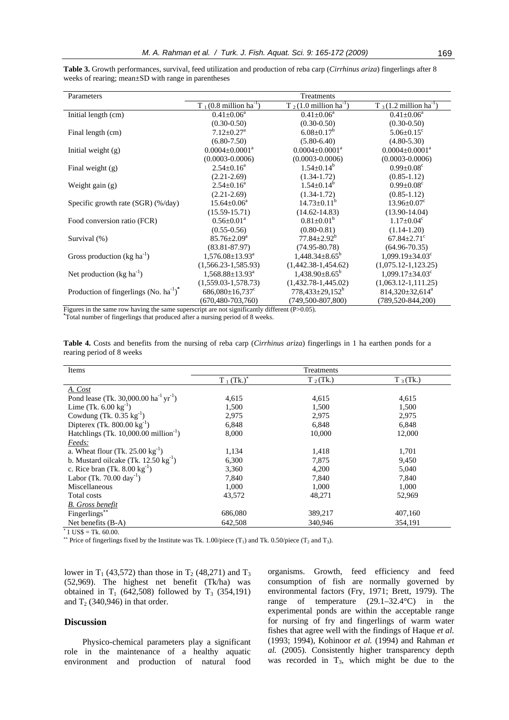| Treatments                         |                                    |                                                                                                                                                           |  |  |  |  |  |  |  |
|------------------------------------|------------------------------------|-----------------------------------------------------------------------------------------------------------------------------------------------------------|--|--|--|--|--|--|--|
| $T_1(0.8 \text{ million ha}^{-1})$ | $T_2(1.0 \text{ million ha}^{-1})$ | $T_3(1.2 \text{ million ha}^{-1})$                                                                                                                        |  |  |  |  |  |  |  |
| $0.41 \pm 0.06^a$                  | $0.41 \pm 0.06^a$                  | $0.41 \pm 0.06^a$                                                                                                                                         |  |  |  |  |  |  |  |
| $(0.30 - 0.50)$                    | $(0.30 - 0.50)$                    | $(0.30 - 0.50)$                                                                                                                                           |  |  |  |  |  |  |  |
| $7.12 \pm 0.27$ <sup>a</sup>       | $6.08 \pm 0.17^b$                  | $5.06 \pm 0.15$ <sup>c</sup>                                                                                                                              |  |  |  |  |  |  |  |
| $(6.80 - 7.50)$                    | $(5.80 - 6.40)$                    | $(4.80 - 5.30)$                                                                                                                                           |  |  |  |  |  |  |  |
| $0.0004 \pm 0.0001^a$              | $0.0004 \pm 0.0001^a$              | $0.0004 \pm 0.0001^a$                                                                                                                                     |  |  |  |  |  |  |  |
| $(0.0003 - 0.0006)$                | $(0.0003 - 0.0006)$                | $(0.0003 - 0.0006)$                                                                                                                                       |  |  |  |  |  |  |  |
| $2.54 \pm 0.16^a$                  |                                    | $0.99 \pm 0.08$ <sup>c</sup>                                                                                                                              |  |  |  |  |  |  |  |
| $(2.21-2.69)$                      | $(1.34 - 1.72)$                    | $(0.85 - 1.12)$                                                                                                                                           |  |  |  |  |  |  |  |
| $2.54 \pm 0.16^a$                  | $1.54 \pm 0.14^b$                  | $0.99 \pm 0.08$ <sup>c</sup>                                                                                                                              |  |  |  |  |  |  |  |
| $(2.21-2.69)$                      | $(1.34 - 1.72)$                    | $(0.85 - 1.12)$                                                                                                                                           |  |  |  |  |  |  |  |
| $15.64 \pm 0.06^{\circ}$           |                                    | $13.96 \pm 0.07$ <sup>c</sup>                                                                                                                             |  |  |  |  |  |  |  |
| $(15.59 - 15.71)$                  | $(14.62 - 14.83)$                  | $(13.90 - 14.04)$                                                                                                                                         |  |  |  |  |  |  |  |
| $0.56 \pm 0.01^a$                  | $0.81 \pm 0.01^b$                  | $1.17 \pm 0.04$ <sup>c</sup>                                                                                                                              |  |  |  |  |  |  |  |
| $(0.55 - 0.56)$                    | $(0.80 - 0.81)$                    | $(1.14 - 1.20)$                                                                                                                                           |  |  |  |  |  |  |  |
| $85.76 \pm 2.09^{\circ}$           | $77.84 + 2.92^b$                   | $67.84 \pm 2.71$ <sup>c</sup>                                                                                                                             |  |  |  |  |  |  |  |
| $(83.81 - 87.97)$                  | $(74.95 - 80.78)$                  | $(64.96 - 70.35)$                                                                                                                                         |  |  |  |  |  |  |  |
| $1,576.08 \pm 13.93$ <sup>a</sup>  |                                    | $1,099.19 \pm 34.03$ <sup>c</sup>                                                                                                                         |  |  |  |  |  |  |  |
| $(1,566.23-1,585.93)$              | $(1,442.38-1,454.62)$              | $(1,075.12-1,123.25)$                                                                                                                                     |  |  |  |  |  |  |  |
| $1,568.88 \pm 13.93$ <sup>a</sup>  |                                    | $1,099.17 \pm 34.03$ <sup>c</sup>                                                                                                                         |  |  |  |  |  |  |  |
| $(1,559.03-1,578.73)$              | $(1,432.78-1,445.02)$              | $(1,063.12-1,111.25)$                                                                                                                                     |  |  |  |  |  |  |  |
| $686,080 \pm 16,737$ <sup>c</sup>  |                                    | $814,320 \pm 32,614^a$                                                                                                                                    |  |  |  |  |  |  |  |
|                                    | $(749, 500 - 807, 800)$            | $(789, 520 - 844, 200)$                                                                                                                                   |  |  |  |  |  |  |  |
|                                    | $(670, 480 - 703, 760)$            | $1.54 \pm 0.14^b$<br>$14.73 \pm 0.11^b$<br>$1,448.34\pm8.65^{\circ}$<br>$1,438.90\pm8.65^{\rm b}$<br>$778,433\pm29,152^b$<br>$\sqrt{D}$ $\wedge$ $\wedge$ |  |  |  |  |  |  |  |

**Table 3.** Growth performances, survival, feed utilization and production of reba carp (*Cirrhinus ariza*) fingerlings after 8 weeks of rearing; mean±SD with range in parentheses

Figures in the same row having the same superscript are not significantly different (P>0.05).

**\*** Total number of fingerlings that produced after a nursing period of 8 weeks.

|                           |  |  |  |  | Table 4. Costs and benefits from the nursing of reba carp (Cirrhinus ariza) fingerlings in 1 ha earthen ponds for a |  |  |  |  |  |
|---------------------------|--|--|--|--|---------------------------------------------------------------------------------------------------------------------|--|--|--|--|--|
| rearing period of 8 weeks |  |  |  |  |                                                                                                                     |  |  |  |  |  |

| Treatments               |             |             |  |  |  |  |
|--------------------------|-------------|-------------|--|--|--|--|
| $T_1$ (Tk.) <sup>*</sup> | $T_2$ (Tk.) | $T_3$ (Tk.) |  |  |  |  |
|                          |             |             |  |  |  |  |
| 4,615                    | 4,615       | 4,615       |  |  |  |  |
| 1,500                    | 1,500       | 1,500       |  |  |  |  |
| 2,975                    | 2,975       | 2,975       |  |  |  |  |
| 6,848                    | 6,848       | 6,848       |  |  |  |  |
| 8,000                    | 10,000      | 12,000      |  |  |  |  |
|                          |             |             |  |  |  |  |
| 1,134                    | 1,418       | 1,701       |  |  |  |  |
| 6,300                    | 7,875       | 9,450       |  |  |  |  |
| 3,360                    | 4,200       | 5,040       |  |  |  |  |
| 7,840                    | 7,840       | 7,840       |  |  |  |  |
| 1,000                    | 1,000       | 1,000       |  |  |  |  |
| 43,572                   | 48,271      | 52,969      |  |  |  |  |
|                          |             |             |  |  |  |  |
| 686,080                  | 389,217     | 407,160     |  |  |  |  |
| 642,508                  | 340,946     | 354,191     |  |  |  |  |
|                          |             |             |  |  |  |  |

 $1$  US\$ = Tk. 60.00.

<sup>\*\*</sup> Price of fingerlings fixed by the Institute was Tk. 1.00/piece (T<sub>1</sub>) and Tk. 0.50/piece (T<sub>2</sub> and T<sub>3</sub>).

lower in T<sub>1</sub> (43,572) than those in T<sub>2</sub> (48,271) and T<sub>3</sub> (52,969). The highest net benefit (Tk/ha) was obtained in  $T_1$  (642,508) followed by  $T_3$  (354,191) and  $T_2$  (340,946) in that order.

## **Discussion**

Physico-chemical parameters play a significant role in the maintenance of a healthy aquatic environment and production of natural food organisms. Growth, feed efficiency and feed consumption of fish are normally governed by environmental factors (Fry, 1971; Brett, 1979). The range of temperature (29.1–32.4°C) in the experimental ponds are within the acceptable range for nursing of fry and fingerlings of warm water fishes that agree well with the findings of Haque *et al.* (1993; 1994), Kohinoor *et al.* (1994) and Rahman *et al.* (2005). Consistently higher transparency depth was recorded in  $T_3$ , which might be due to the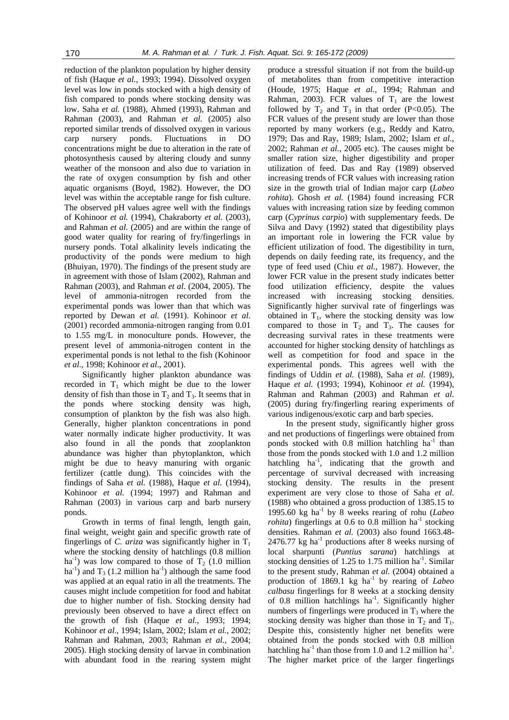reduction of the plankton population by higher density of fish (Haque *et al.*, 1993; 1994). Dissolved oxygen level was low in ponds stocked with a high density of fish compared to ponds where stocking density was low. Saha *et al.* (1988), Ahmed (1993), Rahman and Rahman (2003), and Rahman *et al.* (2005) also reported similar trends of dissolved oxygen in various carp nursery ponds. Fluctuations in DO concentrations might be due to alteration in the rate of photosynthesis caused by altering cloudy and sunny weather of the monsoon and also due to variation in the rate of oxygen consumption by fish and other aquatic organisms (Boyd, 1982). However, the DO level was within the acceptable range for fish culture. The observed pH values agree well with the findings of Kohinoor *et al.* (1994), Chakraborty *et al.* (2003), and Rahman *et al.* (2005) and are within the range of good water quality for rearing of fry/fingerlings in nursery ponds. Total alkalinity levels indicating the productivity of the ponds were medium to high (Bhuiyan, 1970). The findings of the present study are in agreement with those of Islam (2002), Rahman and Rahman (2003), and Rahman *et al.* (2004, 2005). The level of ammonia-nitrogen recorded from the experimental ponds was lower than that which was reported by Dewan *et al.* (1991). Kohinoor *et al.* (2001) recorded ammonia-nitrogen ranging from 0.01 to 1.55 mg/L in monoculture ponds. However, the present level of ammonia-nitrogen content in the experimental ponds is not lethal to the fish (Kohinoor *et al*., 1998; Kohinoor *et al*., 2001).

Significantly higher plankton abundance was recorded in  $T_1$  which might be due to the lower density of fish than those in  $T_2$  and  $T_3$ . It seems that in the ponds where stocking density was high, consumption of plankton by the fish was also high. Generally, higher plankton concentrations in pond water normally indicate higher productivity. It was also found in all the ponds that zooplankton abundance was higher than phytoplankton, which might be due to heavy manuring with organic fertilizer (cattle dung). This coincides with the findings of Saha *et al.* (1988), Haque *et al.* (1994), Kohinoor *et al.* (1994; 1997) and Rahman and Rahman (2003) in various carp and barb nursery ponds.

Growth in terms of final length, length gain, final weight, weight gain and specific growth rate of fingerlings of *C. ariza* was significantly higher in  $T_1$ where the stocking density of hatchlings (0.8 million ha<sup>-1</sup>) was low compared to those of  $T_2$  (1.0 million ha<sup>-1</sup>) and  $T_3$  (1.2 million ha<sup>-1</sup>) although the same food was applied at an equal ratio in all the treatments. The causes might include competition for food and habitat due to higher number of fish. Stocking density had previously been observed to have a direct effect on the growth of fish (Haque *et al.*, 1993; 1994; Kohinoor *et al.*, 1994; Islam, 2002; Islam *et al.*, 2002; Rahman and Rahman, 2003; Rahman *et al.*, 2004; 2005). High stocking density of larvae in combination with abundant food in the rearing system might

produce a stressful situation if not from the build-up of metabolites than from competitive interaction (Houde, 1975; Haque *et al.*, 1994; Rahman and Rahman, 2003). FCR values of  $T_1$  are the lowest followed by  $T_2$  and  $T_3$  in that order (P<0.05). The FCR values of the present study are lower than those reported by many workers (e.g., Reddy and Katro, 1979; Das and Ray, 1989; Islam, 2002; Islam *et al.*, 2002; Rahman *et al.*, 2005 etc). The causes might be smaller ration size, higher digestibility and proper utilization of feed. Das and Ray (1989) observed increasing trends of FCR values with increasing ration size in the growth trial of Indian major carp (*Labeo rohita*). Ghosh *et al.* (1984) found increasing FCR values with increasing ration size by feeding common carp (*Cyprinus carpio*) with supplementary feeds. De Silva and Davy (1992) stated that digestibility plays an important role in lowering the FCR value by efficient utilization of food. The digestibility in turn, depends on daily feeding rate, its frequency, and the type of feed used (Chiu *et al.*, 1987). However, the lower FCR value in the present study indicates better food utilization efficiency, despite the values increased with increasing stocking densities. Significantly higher survival rate of fingerlings was obtained in  $T_1$ , where the stocking density was low compared to those in  $T_2$  and  $T_3$ . The causes for decreasing survival rates in these treatments were accounted for higher stocking density of hatchlings as well as competition for food and space in the experimental ponds. This agrees well with the findings of Uddin *et al.* (1988), Saha *et al.* (1989), Haque *et al.* (1993; 1994), Kohinoor *et al.* (1994), Rahman and Rahman (2003) and Rahman *et al.* (2005) during fry/fingerling rearing experiments of various indigenous/exotic carp and barb species.

In the present study, significantly higher gross and net productions of fingerlings were obtained from ponds stocked with  $0.8$  million hatchling ha<sup>-1</sup> than those from the ponds stocked with 1.0 and 1.2 million hatchling  $ha^{-1}$ , indicating that the growth and percentage of survival decreased with increasing stocking density. The results in the present experiment are very close to those of Saha *et al.* (1988) who obtained a gross production of 1385.15 to 1995.60 kg ha-1 by 8 weeks rearing of rohu (*Labeo rohita*) fingerlings at 0.6 to 0.8 million  $ha^{-1}$  stocking densities. Rahman *et al.* (2003) also found 1663.48-  $2476.77$  kg ha<sup>-1</sup> productions after 8 weeks nursing of local sharpunti (*Puntius sarana*) hatchlings at stocking densities of 1.25 to 1.75 million  $ha^{-1}$ . Similar to the present study, Rahman *et al.* (2004) obtained a production of 1869.1 kg ha<sup>-1</sup> by rearing of *Labeo calbasu* fingerlings for 8 weeks at a stocking density of 0.8 million hatchlings  $ha^{-1}$ . Significantly higher numbers of fingerlings were produced in  $T_3$  where the stocking density was higher than those in  $T_2$  and  $T_1$ . Despite this, consistently higher net benefits were obtained from the ponds stocked with 0.8 million hatchling ha<sup>-1</sup> than those from 1.0 and 1.2 million ha<sup>-1</sup>. The higher market price of the larger fingerlings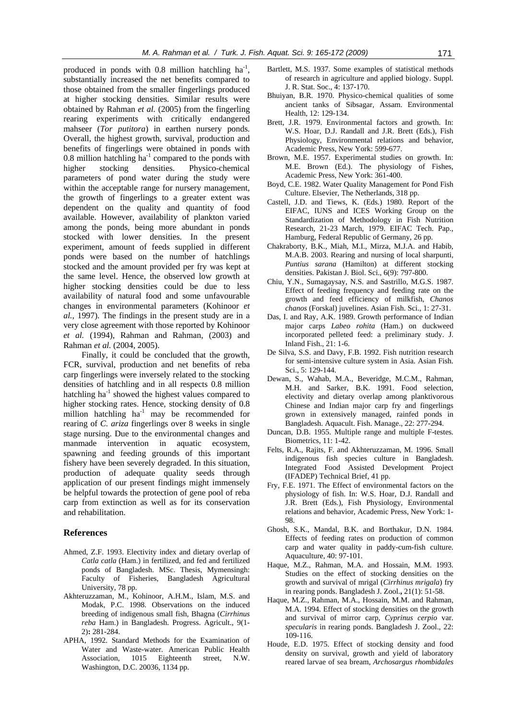produced in ponds with  $0.8$  million hatchling ha<sup>-1</sup>, substantially increased the net benefits compared to those obtained from the smaller fingerlings produced at higher stocking densities. Similar results were obtained by Rahman *et al.* (2005) from the fingerling rearing experiments with critically endangered mahseer (*Tor putitora*) in earthen nursery ponds. Overall, the highest growth, survival, production and benefits of fingerlings were obtained in ponds with 0.8 million hatchling ha<sup>-1</sup> compared to the ponds with higher stocking densities. Physico-chemical parameters of pond water during the study were within the acceptable range for nursery management, the growth of fingerlings to a greater extent was dependent on the quality and quantity of food available. However, availability of plankton varied among the ponds, being more abundant in ponds stocked with lower densities. In the present experiment, amount of feeds supplied in different ponds were based on the number of hatchlings stocked and the amount provided per fry was kept at the same level. Hence, the observed low growth at higher stocking densities could be due to less availability of natural food and some unfavourable changes in environmental parameters (Kohinoor *et al.*, 1997). The findings in the present study are in a very close agreement with those reported by Kohinoor *et al.* (1994), Rahman and Rahman, (2003) and Rahman *et al.* (2004, 2005).

Finally, it could be concluded that the growth, FCR, survival, production and net benefits of reba carp fingerlings were inversely related to the stocking densities of hatchling and in all respects 0.8 million hatchling ha<sup>-1</sup> showed the highest values compared to higher stocking rates. Hence, stocking density of 0.8 million hatchling  $ha^{-1}$  may be recommended for rearing of *C. ariza* fingerlings over 8 weeks in single stage nursing. Due to the environmental changes and manmade intervention in aquatic ecosystem, spawning and feeding grounds of this important fishery have been severely degraded. In this situation, production of adequate quality seeds through application of our present findings might immensely be helpful towards the protection of gene pool of reba carp from extinction as well as for its conservation and rehabilitation.

#### **References**

- Ahmed, Z.F. 1993. Electivity index and dietary overlap of *Catla catla* (Ham.) in fertilized, and fed and fertilized ponds of Bangladesh. MSc. Thesis, Mymensingh: Faculty of Fisheries, Bangladesh Agricultural University, 78 pp.
- Akhteruzzaman, M., Kohinoor, A.H.M., Islam, M.S. and Modak, P.C. 1998. Observations on the induced breeding of indigenous small fish, Bhagna (*Cirrhinus reba* Ham.) in Bangladesh. Progress. Agricult., 9(1- 2)**:** 281-284.
- APHA, 1992. Standard Methods for the Examination of Water and Waste-water. American Public Health Association, 1015 Eighteenth street, N.W. Washington, D.C. 20036, 1134 pp.
- Bartlett, M.S. 1937. Some examples of statistical methods of research in agriculture and applied biology. Suppl. J. R. Stat. Soc., 4: 137-170.
- Bhuiyan, B.R. 1970. Physico-chemical qualities of some ancient tanks of Sibsagar, Assam. Environmental Health, 12: 129-134.
- Brett, J.R. 1979. Environmental factors and growth. In: W.S. Hoar, D.J. Randall and J.R. Brett (Eds.), Fish Physiology, Environmental relations and behavior, Academic Press, New York: 599-677.
- Brown, M.E. 1957. Experimental studies on growth. In: M.E. Brown (Ed.). The physiology of Fishes, Academic Press, New York: 361-400.
- Boyd, C.E. 1982. Water Quality Management for Pond Fish Culture. Elsevier, The Netherlands, 318 pp.
- Castell, J.D. and Tiews, K. (Eds.) 1980. Report of the EIFAC, IUNS and ICES Working Group on the Standardization of Methodology in Fish Nutrition Research, 21-23 March, 1979. EIFAC Tech. Pap., Hamburg, Federal Republic of Germany, 26 pp.
- Chakraborty, B.K., Miah, M.I., Mirza, M.J.A. and Habib, M.A.B. 2003. Rearing and nursing of local sharpunti, *Puntius sarana* (Hamilton) at different stocking densities. Pakistan J. Biol. Sci., 6(9): 797-800.
- Chiu, Y.N., Sumagaysay, N.S. and Sastrillo, M.G.S. 1987. Effect of feeding frequency and feeding rate on the growth and feed efficiency of milkfish, *Chanos chanos* (Forskal) juvelines. Asian Fish. Sci., 1: 27-31.
- Das, I. and Ray, A.K. 1989. Growth performance of Indian major carps *Labeo rohita* (Ham.) on duckweed incorporated pelleted feed: a preliminary study. J. Inland Fish., 21: 1-6.
- De Silva, S.S. and Davy, F.B. 1992. Fish nutrition research for semi-intensive culture system in Asia. Asian Fish. Sci., 5: 129-144.
- Dewan, S., Wahab, M.A., Beveridge, M.C.M., Rahman, M.H. and Sarker, B.K. 1991. Food selection, electivity and dietary overlap among planktivorous Chinese and Indian major carp fry and fingerlings grown in extensively managed, rainfed ponds in Bangladesh. Aquacult. Fish. Manage., 22: 277-294.
- Duncan, D.B. 1955. Multiple range and multiple F-testes. Biometrics, 11: 1-42.
- Felts, R.A., Rajits, F. and Akhteruzzaman, M. 1996. Small indigenous fish species culture in Bangladesh. Integrated Food Assisted Development Project (IFADEP) Technical Brief, 41 pp.
- Fry, F.E. 1971. The Effect of environmental factors on the physiology of fish. In: W.S. Hoar, D.J. Randall and J.R. Brett (Eds.), Fish Physiology, Environmental relations and behavior, Academic Press, New York: 1- 98.
- Ghosh, S.K., Mandal, B.K. and Borthakur, D.N. 1984. Effects of feeding rates on production of common carp and water quality in paddy-cum-fish culture. Aquaculture, 40: 97-101.
- Haque, M.Z., Rahman, M.A. and Hossain, M.M. 1993. Studies on the effect of stocking densities on the growth and survival of mrigal (*Cirrhinus mrigala*) fry in rearing ponds. Bangladesh J. Zool.**,** 21(1): 51-58.
- Haque, M.Z., Rahman, M.A., Hossain, M.M. and Rahman, M.A. 1994. Effect of stocking densities on the growth and survival of mirror carp, *Cyprinus cerpio* var. *specularis* in rearing ponds. Bangladesh J. Zool., 22: 109-116.
- Houde, E.D. 1975. Effect of stocking density and food density on survival, growth and yield of laboratory reared larvae of sea bream, *Archosargus rhombidales*